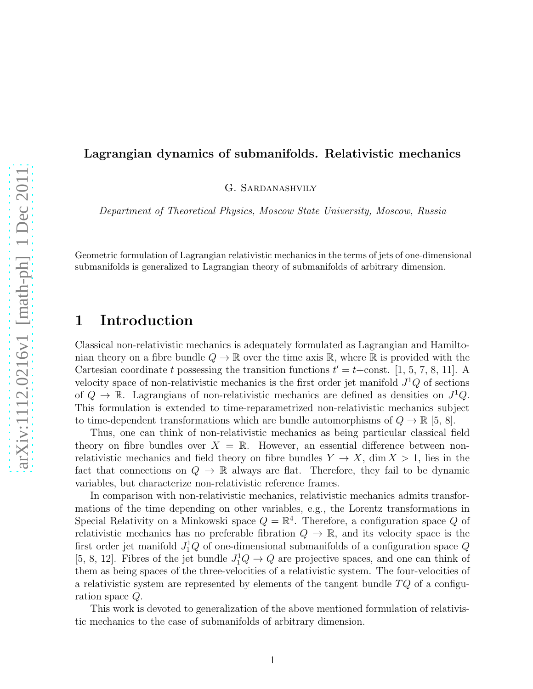# G. Sardanashvily

Department of Theoretical Physics, Moscow State University, Moscow, Russia

Lagrangian dynamics of submanifolds. Relativistic mechanics

Geometric formulation of Lagrangian relativistic mechanics in the terms of jets of one-dimensional submanifolds is generalized to Lagrangian theory of submanifolds of arbitrary dimension.

## 1 Introduction

Classical non-relativistic mechanics is adequately formulated as Lagrangian and Hamiltonian theory on a fibre bundle  $Q \to \mathbb{R}$  over the time axis  $\mathbb{R}$ , where  $\mathbb{R}$  is provided with the Cartesian coordinate t possessing the transition functions  $t' = t + \text{const.}$  [1, 5, 7, 8, 11]. A velocity space of non-relativistic mechanics is the first order jet manifold  $J<sup>1</sup>Q$  of sections of  $Q \to \mathbb{R}$ . Lagrangians of non-relativistic mechanics are defined as densities on  $J^1Q$ . This formulation is extended to time-reparametrized non-relativistic mechanics subject to time-dependent transformations which are bundle automorphisms of  $Q \to \mathbb{R}$  [5, 8].

Thus, one can think of non-relativistic mechanics as being particular classical field theory on fibre bundles over  $X = \mathbb{R}$ . However, an essential difference between nonrelativistic mechanics and field theory on fibre bundles  $Y \to X$ , dim  $X > 1$ , lies in the fact that connections on  $Q \to \mathbb{R}$  always are flat. Therefore, they fail to be dynamic variables, but characterize non-relativistic reference frames.

In comparison with non-relativistic mechanics, relativistic mechanics admits transformations of the time depending on other variables, e.g., the Lorentz transformations in Special Relativity on a Minkowski space  $Q = \mathbb{R}^4$ . Therefore, a configuration space Q of relativistic mechanics has no preferable fibration  $Q \to \mathbb{R}$ , and its velocity space is the first order jet manifold  $J_1^1Q$  of one-dimensional submanifolds of a configuration space  $Q$ [5, 8, 12]. Fibres of the jet bundle  $J_1^1Q \to Q$  are projective spaces, and one can think of them as being spaces of the three-velocities of a relativistic system. The four-velocities of a relativistic system are represented by elements of the tangent bundle  $TQ$  of a configuration space Q.

This work is devoted to generalization of the above mentioned formulation of relativistic mechanics to the case of submanifolds of arbitrary dimension.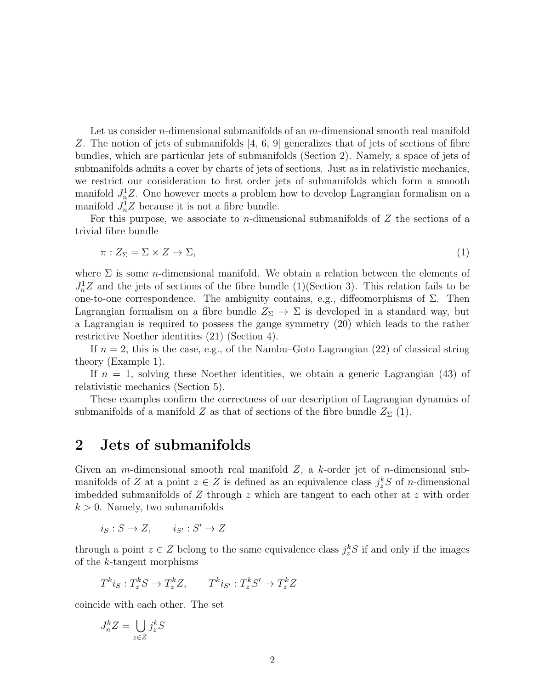Let us consider *n*-dimensional submanifolds of an  $m$ -dimensional smooth real manifold Z. The notion of jets of submanifolds [4, 6, 9] generalizes that of jets of sections of fibre bundles, which are particular jets of submanifolds (Section 2). Namely, a space of jets of submanifolds admits a cover by charts of jets of sections. Just as in relativistic mechanics, we restrict our consideration to first order jets of submanifolds which form a smooth manifold  $J_n^1Z$ . One however meets a problem how to develop Lagrangian formalism on a manifold  $J_n^1Z$  because it is not a fibre bundle.

For this purpose, we associate to *n*-dimensional submanifolds of  $Z$  the sections of a trivial fibre bundle

$$
\pi: Z_{\Sigma} = \Sigma \times Z \to \Sigma, \tag{1}
$$

where  $\Sigma$  is some *n*-dimensional manifold. We obtain a relation between the elements of  $J_n^1Z$  and the jets of sections of the fibre bundle (1)(Section 3). This relation fails to be one-to-one correspondence. The ambiguity contains, e.g., diffeomorphisms of  $\Sigma$ . Then Lagrangian formalism on a fibre bundle  $Z_{\Sigma} \to \Sigma$  is developed in a standard way, but a Lagrangian is required to possess the gauge symmetry (20) which leads to the rather restrictive Noether identities (21) (Section 4).

If  $n = 2$ , this is the case, e.g., of the Nambu–Goto Lagrangian (22) of classical string theory (Example 1).

If  $n = 1$ , solving these Noether identities, we obtain a generic Lagrangian (43) of relativistic mechanics (Section 5).

These examples confirm the correctness of our description of Lagrangian dynamics of submanifolds of a manifold Z as that of sections of the fibre bundle  $Z_{\Sigma}$  (1).

### 2 Jets of submanifolds

Given an *m*-dimensional smooth real manifold  $Z$ , a *k*-order jet of *n*-dimensional submanifolds of Z at a point  $z \in Z$  is defined as an equivalence class  $j_z^k S$  of *n*-dimensional imbedded submanifolds of  $Z$  through  $z$  which are tangent to each other at  $z$  with order  $k > 0$ . Namely, two submanifolds

 $i_S : S \to Z, \qquad i_{S'} : S' \to Z$ 

through a point  $z \in Z$  belong to the same equivalence class  $j_z^k S$  if and only if the images of the k-tangent morphisms

$$
T^k i_S: T_z^k S \to T_z^k Z, \qquad T^k i_{S'}: T_z^k S' \to T_z^k Z
$$

coincide with each other. The set

$$
J_n^k Z = \bigcup_{z \in Z} j_z^k S
$$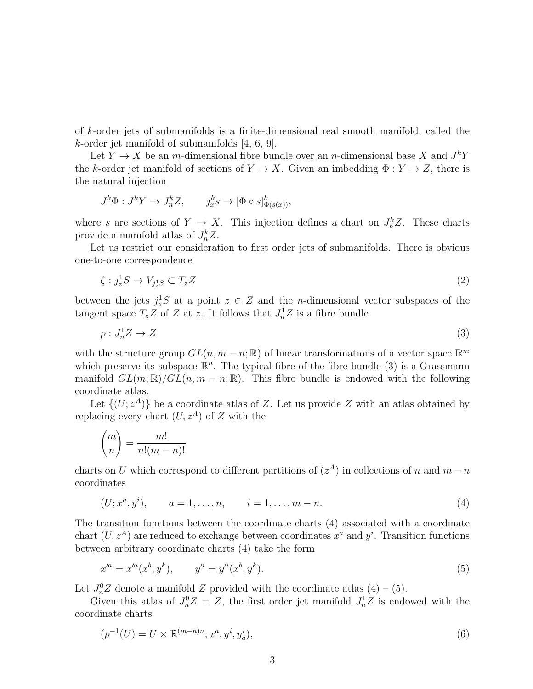of k-order jets of submanifolds is a finite-dimensional real smooth manifold, called the k-order jet manifold of submanifolds [4, 6, 9].

Let  $Y \to X$  be an m-dimensional fibre bundle over an n-dimensional base X and  $J^kY$ the k-order jet manifold of sections of  $Y \to X$ . Given an imbedding  $\Phi: Y \to Z$ , there is the natural injection

$$
J^k \Phi : J^k Y \to J^k_n Z, \qquad j^k_x s \to [\Phi \circ s]^k_{\Phi(s(x))},
$$

where s are sections of  $Y \to X$ . This injection defines a chart on  $J_n^k Z$ . These charts provide a manifold atlas of  $J_n^k Z$ .

Let us restrict our consideration to first order jets of submanifolds. There is obvious one-to-one correspondence

$$
\zeta : j_z^1 S \to V_{j_z^1 S} \subset T_z Z \tag{2}
$$

between the jets  $j_z^1S$  at a point  $z \in Z$  and the *n*-dimensional vector subspaces of the tangent space  $T_z Z$  of Z at z. It follows that  $J_n^1 Z$  is a fibre bundle

$$
\rho: J_n^1 Z \to Z \tag{3}
$$

with the structure group  $GL(n, m-n; \mathbb{R})$  of linear transformations of a vector space  $\mathbb{R}^m$ which preserve its subspace  $\mathbb{R}^n$ . The typical fibre of the fibre bundle (3) is a Grassmann manifold  $GL(m;\mathbb{R})/GL(n, m-n;\mathbb{R})$ . This fibre bundle is endowed with the following coordinate atlas.

Let  $\{(U; z^A)\}\$ be a coordinate atlas of Z. Let us provide Z with an atlas obtained by replacing every chart  $(U, z^A)$  of Z with the

$$
\binom{m}{n} = \frac{m!}{n!(m-n)!}
$$

charts on U which correspond to different partitions of  $(z<sup>A</sup>)$  in collections of n and  $m - n$ coordinates

$$
(U; x^a, y^i), \qquad a = 1, \dots, n, \qquad i = 1, \dots, m - n.
$$
\n<sup>(4)</sup>

The transition functions between the coordinate charts (4) associated with a coordinate chart  $(U, z^A)$  are reduced to exchange between coordinates  $x^a$  and  $y^i$ . Transition functions between arbitrary coordinate charts (4) take the form

$$
x'^a = x'^a(x^b, y^k), \qquad y'^i = y'^i(x^b, y^k). \tag{5}
$$

Let  $J_n^0Z$  denote a manifold Z provided with the coordinate atlas  $(4) - (5)$ .

Given this atlas of  $J_n^0 Z = Z$ , the first order jet manifold  $J_n^1 Z$  is endowed with the coordinate charts

$$
(\rho^{-1}(U) = U \times \mathbb{R}^{(m-n)n}; x^a, y^i, y^i_a), \tag{6}
$$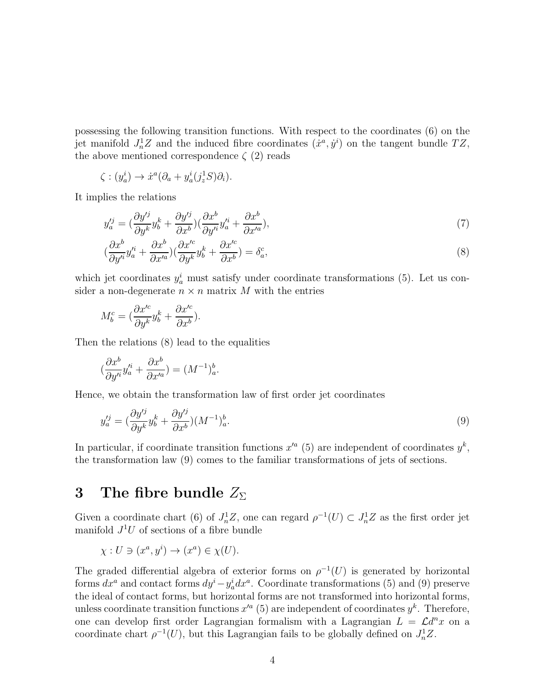possessing the following transition functions. With respect to the coordinates (6) on the jet manifold  $J_n^1Z$  and the induced fibre coordinates  $(\dot{x}^a, \dot{y}^i)$  on the tangent bundle  $TZ$ , the above mentioned correspondence  $\zeta$  (2) reads

$$
\zeta : (y_a^i) \to \dot{x}^a (\partial_a + y_a^i (j_z^1 S) \partial_i).
$$

It implies the relations

$$
y_a^{\prime j} = \left(\frac{\partial y^{\prime j}}{\partial y^k} y_b^k + \frac{\partial y^{\prime j}}{\partial x^b}\right) \left(\frac{\partial x^b}{\partial y^{\prime i}} y_a^{\prime i} + \frac{\partial x^b}{\partial x^{\prime a}}\right),\tag{7}
$$

$$
\left(\frac{\partial x^b}{\partial y'^i} y'^i_a + \frac{\partial x^b}{\partial x'^a}\right)\left(\frac{\partial x'^c}{\partial y^k} y^k_b + \frac{\partial x'^c}{\partial x^b}\right) = \delta^c_a,\tag{8}
$$

which jet coordinates  $y_a^i$  must satisfy under coordinate transformations (5). Let us consider a non-degenerate  $n \times n$  matrix M with the entries

$$
M_b^c = \left(\frac{\partial x'^c}{\partial y^k} y_b^k + \frac{\partial x'^c}{\partial x^b}\right).
$$

Then the relations (8) lead to the equalities

$$
(\frac{\partial x^b}{\partial y'^i}y'^i_a + \frac{\partial x^b}{\partial x'^a}) = (M^{-1})^b_a.
$$

Hence, we obtain the transformation law of first order jet coordinates

$$
y_a^{\prime j} = \left(\frac{\partial y^{\prime j}}{\partial y^k} y_b^k + \frac{\partial y^{\prime j}}{\partial x^b}\right) (M^{-1})_a^b. \tag{9}
$$

In particular, if coordinate transition functions  $x'^a$  (5) are independent of coordinates  $y^k$ , the transformation law (9) comes to the familiar transformations of jets of sections.

## 3 The fibre bundle  $Z_{\Sigma}$

Given a coordinate chart (6) of  $J_n^1Z$ , one can regard  $\rho^{-1}(U) \subset J_n^1Z$  as the first order jet manifold  $J^1U$  of sections of a fibre bundle

$$
\chi: U \ni (x^a, y^i) \to (x^a) \in \chi(U).
$$

The graded differential algebra of exterior forms on  $\rho^{-1}(U)$  is generated by horizontal forms  $dx^a$  and contact forms  $dy^i - y_a^i dx^a$ . Coordinate transformations (5) and (9) preserve the ideal of contact forms, but horizontal forms are not transformed into horizontal forms, unless coordinate transition functions  $x'^a$  (5) are independent of coordinates  $y^k$ . Therefore, one can develop first order Lagrangian formalism with a Lagrangian  $L = \mathcal{L}d^n x$  on a coordinate chart  $\rho^{-1}(U)$ , but this Lagrangian fails to be globally defined on  $J_n^1Z$ .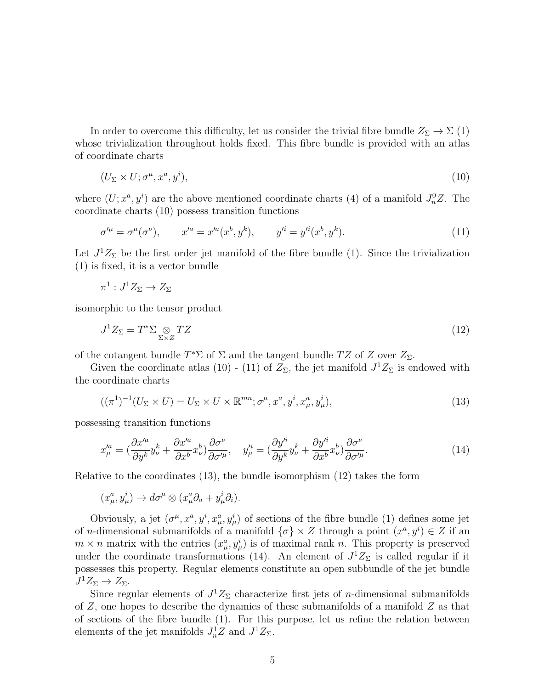In order to overcome this difficulty, let us consider the trivial fibre bundle  $Z_{\Sigma} \to \Sigma$  (1) whose trivialization throughout holds fixed. This fibre bundle is provided with an atlas of coordinate charts

$$
(U_{\Sigma} \times U; \sigma^{\mu}, x^{a}, y^{i}), \qquad (10)
$$

where  $(U; x^a, y^i)$  are the above mentioned coordinate charts (4) of a manifold  $J_n^0 Z$ . The coordinate charts (10) possess transition functions

$$
\sigma'^{\mu} = \sigma^{\mu}(\sigma^{\nu}), \qquad x'^{a} = x'^{a}(x^{b}, y^{k}), \qquad y'^{i} = y'^{i}(x^{b}, y^{k}). \tag{11}
$$

Let  $J^1Z_{\Sigma}$  be the first order jet manifold of the fibre bundle (1). Since the trivialization (1) is fixed, it is a vector bundle

$$
\pi^1: J^1 Z_{\Sigma} \to Z_{\Sigma}
$$

isomorphic to the tensor product

$$
J^1 Z_{\Sigma} = T^* \Sigma \underset{\Sigma \times Z}{\otimes} T Z \tag{12}
$$

of the cotangent bundle  $T^*\Sigma$  of  $\Sigma$  and the tangent bundle  $TZ$  of  $Z$  over  $Z_{\Sigma}$ .

Given the coordinate atlas (10) - (11) of  $Z_{\Sigma}$ , the jet manifold  $J^1Z_{\Sigma}$  is endowed with the coordinate charts

$$
((\pi^1)^{-1}(U_{\Sigma} \times U) = U_{\Sigma} \times U \times \mathbb{R}^{mn}; \sigma^{\mu}, x^a, y^i, x^a_{\mu}, y^i_{\mu}),
$$
\n(13)

possessing transition functions

$$
x_{\mu}^{\prime a} = \left(\frac{\partial x^{\prime a}}{\partial y^k} y_{\nu}^k + \frac{\partial x^{\prime a}}{\partial x^b} x_{\nu}^b\right) \frac{\partial \sigma^{\nu}}{\partial \sigma^{\prime \mu}}, \quad y_{\mu}^{\prime i} = \left(\frac{\partial y^{\prime i}}{\partial y^k} y_{\nu}^k + \frac{\partial y^{\prime i}}{\partial x^b} x_{\nu}^b\right) \frac{\partial \sigma^{\nu}}{\partial \sigma^{\prime \mu}}.
$$
\n(14)

Relative to the coordinates (13), the bundle isomorphism (12) takes the form

$$
(x^a_\mu, y^i_\mu) \to d\sigma^\mu \otimes (x^a_\mu \partial_a + y^i_\mu \partial_i).
$$

Obviously, a jet  $(\sigma^{\mu}, x^a, y^i, x^a_{\mu}, y^i_{\mu})$  of sections of the fibre bundle (1) defines some jet of *n*-dimensional submanifolds of a manifold  $\{\sigma\} \times Z$  through a point  $(x^a, y^i) \in Z$  if an  $m \times n$  matrix with the entries  $(x_{\mu}^a, y_{\mu}^i)$  is of maximal rank n. This property is preserved under the coordinate transformations (14). An element of  $J^1Z_{\Sigma}$  is called regular if it possesses this property. Regular elements constitute an open subbundle of the jet bundle  $J^1Z_{\Sigma} \to Z_{\Sigma}$ .

Since regular elements of  $J^1Z_{\Sigma}$  characterize first jets of *n*-dimensional submanifolds of Z, one hopes to describe the dynamics of these submanifolds of a manifold Z as that of sections of the fibre bundle (1). For this purpose, let us refine the relation between elements of the jet manifolds  $J_n^1Z$  and  $J^1Z_{\Sigma}$ .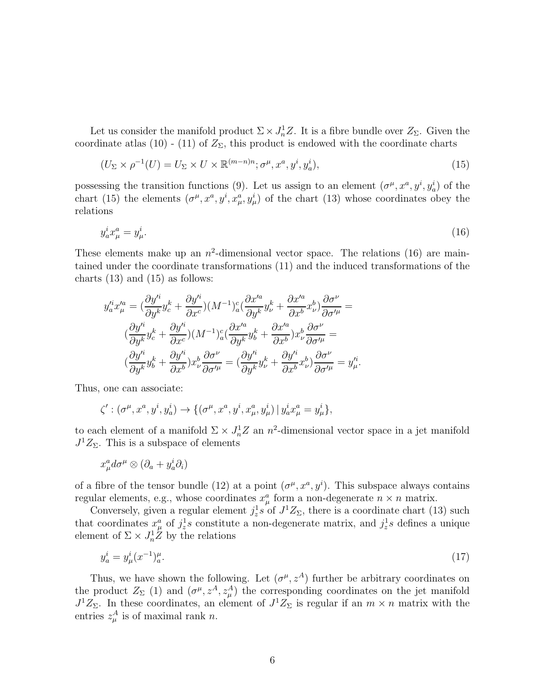Let us consider the manifold product  $\Sigma \times J_n^1 Z$ . It is a fibre bundle over  $Z_{\Sigma}$ . Given the coordinate atlas (10) - (11) of  $Z_{\Sigma}$ , this product is endowed with the coordinate charts

$$
(U_{\Sigma} \times \rho^{-1}(U) = U_{\Sigma} \times U \times \mathbb{R}^{(m-n)n}; \sigma^{\mu}, x^a, y^i, y^i_a), \qquad (15)
$$

possessing the transition functions (9). Let us assign to an element  $(\sigma^{\mu}, x^a, y^i, y^i_a)$  of the chart (15) the elements  $(\sigma^{\mu}, x^a, y^i, x^a_{\mu}, y^i_{\mu})$  of the chart (13) whose coordinates obey the relations

$$
y_a^i x_\mu^a = y_\mu^i. \tag{16}
$$

These elements make up an  $n^2$ -dimensional vector space. The relations (16) are maintained under the coordinate transformations (11) and the induced transformations of the charts  $(13)$  and  $(15)$  as follows:

$$
y_a'^i x_\mu'^a = \left(\frac{\partial y'^i}{\partial y^k} y_c^k + \frac{\partial y'^i}{\partial x^c}\right) (M^{-1})_a^c \left(\frac{\partial x'^a}{\partial y^k} y_\nu^k + \frac{\partial x'^a}{\partial x^b} x_\nu^b\right) \frac{\partial \sigma^\nu}{\partial \sigma'^\mu} =
$$
  

$$
\left(\frac{\partial y'^i}{\partial y^k} y_c^k + \frac{\partial y'^i}{\partial x^c}\right) (M^{-1})_a^c \left(\frac{\partial x'^a}{\partial y^k} y_b^k + \frac{\partial x'^a}{\partial x^b}\right) x_\nu^b \frac{\partial \sigma^\nu}{\partial \sigma'^\mu} =
$$
  

$$
\left(\frac{\partial y'^i}{\partial y^k} y_b^k + \frac{\partial y'^i}{\partial x^b}\right) x_\nu^b \frac{\partial \sigma^\nu}{\partial \sigma'^\mu} = \left(\frac{\partial y'^i}{\partial y^k} y_\nu^k + \frac{\partial y'^i}{\partial x^b} x_\nu^b\right) \frac{\partial \sigma^\nu}{\partial \sigma'^\mu} = y_\mu'^i.
$$

Thus, one can associate:

$$
\zeta': (\sigma^{\mu}, x^a, y^i, y^i_a) \to \{ (\sigma^{\mu}, x^a, y^i, x^a_{\mu}, y^i_{\mu}) \mid y^i_a x^a_{\mu} = y^i_{\mu} \},
$$

to each element of a manifold  $\Sigma \times J_n^1 Z$  an  $n^2$ -dimensional vector space in a jet manifold  $J^1Z_{\Sigma}$ . This is a subspace of elements

$$
x^a_\mu d\sigma^\mu \otimes (\partial_a + y^i_a \partial_i)
$$

of a fibre of the tensor bundle (12) at a point  $(\sigma^{\mu}, x^a, y^i)$ . This subspace always contains regular elements, e.g., whose coordinates  $x^a_\mu$  form a non-degenerate  $n \times n$  matrix.

Conversely, given a regular element  $j_z^1s$  of  $J^1Z_{\Sigma}$ , there is a coordinate chart (13) such that coordinates  $x^a_\mu$  of  $j^1_z s$  constitute a non-degenerate matrix, and  $j^1_z s$  defines a unique element of  $\Sigma \times J_n^1 Z$  by the relations

$$
y_a^i = y_\mu^i (x^{-1})_a^\mu. \tag{17}
$$

Thus, we have shown the following. Let  $(\sigma^{\mu}, z^A)$  further be arbitrary coordinates on the product  $Z_{\Sigma}$  (1) and  $(\sigma^{\mu}, z^A, z^A_{\mu})$  the corresponding coordinates on the jet manifold  $J^1Z_{\Sigma}$ . In these coordinates, an element of  $J^1Z_{\Sigma}$  is regular if an  $m \times n$  matrix with the entries  $z_{\mu}^A$  is of maximal rank n.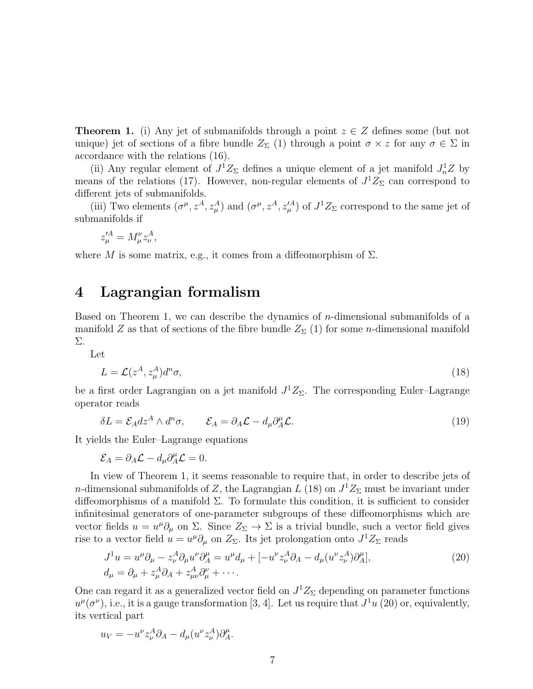**Theorem 1.** (i) Any jet of submanifolds through a point  $z \in Z$  defines some (but not unique) jet of sections of a fibre bundle  $Z_{\Sigma}$  (1) through a point  $\sigma \times z$  for any  $\sigma \in \Sigma$  in accordance with the relations (16).

(ii) Any regular element of  $J^1Z_{\Sigma}$  defines a unique element of a jet manifold  $J_n^1Z$  by means of the relations (17). However, non-regular elements of  $J^1Z_{\Sigma}$  can correspond to different jets of submanifolds.

(iii) Two elements  $(\sigma^{\mu}, z^A, z^A_{\mu})$  and  $(\sigma^{\mu}, z^A, z^{\prime A}_{\mu})$  of  $J^1Z_{\Sigma}$  correspond to the same jet of submanifolds if

$$
z'^A_\mu = M^\nu_\mu z^A_\nu,
$$

where M is some matrix, e.g., it comes from a diffeomorphism of  $\Sigma$ .

#### 4 Lagrangian formalism

Based on Theorem 1, we can describe the dynamics of n-dimensional submanifolds of a manifold Z as that of sections of the fibre bundle  $Z_{\Sigma}(1)$  for some *n*-dimensional manifold Σ.

Let

$$
L = \mathcal{L}(z^A, z^A_\mu) d^n \sigma,\tag{18}
$$

be a first order Lagrangian on a jet manifold  $J^1Z_{\Sigma}$ . The corresponding Euler–Lagrange operator reads

$$
\delta L = \mathcal{E}_A dz^A \wedge d^n \sigma, \qquad \mathcal{E}_A = \partial_A \mathcal{L} - d_\mu \partial_A^\mu \mathcal{L}.
$$
 (19)

It yields the Euler–Lagrange equations

$$
\mathcal{E}_A = \partial_A \mathcal{L} - d_\mu \partial_A^\mu \mathcal{L} = 0.
$$

In view of Theorem 1, it seems reasonable to require that, in order to describe jets of *n*-dimensional submanifolds of Z, the Lagrangian L (18) on  $J^1Z_\Sigma$  must be invariant under diffeomorphisms of a manifold  $\Sigma$ . To formulate this condition, it is sufficient to consider infinitesimal generators of one-parameter subgroups of these diffeomorphisms which are vector fields  $u = u^{\mu} \partial_{\mu}$  on  $\Sigma$ . Since  $Z_{\Sigma} \to \Sigma$  is a trivial bundle, such a vector field gives rise to a vector field  $u = u^{\mu} \partial_{\mu}$  on  $Z_{\Sigma}$ . Its jet prolongation onto  $J^1 Z_{\Sigma}$  reads

$$
J^1 u = u^\mu \partial_\mu - z_\nu^A \partial_\mu u^\nu \partial_A^\mu = u^\mu d_\mu + [-u^\nu z_\nu^A \partial_A - d_\mu (u^\nu z_\nu^A) \partial_A^\mu],
$$
  
\n
$$
d_\mu = \partial_\mu + z_\mu^A \partial_A + z_{\mu\nu}^A \partial_\mu^\nu + \cdots.
$$
\n(20)

One can regard it as a generalized vector field on  $J^1Z_{\Sigma}$  depending on parameter functions  $u^{\mu}(\sigma^{\nu})$ , i.e., it is a gauge transformation [3, 4]. Let us require that  $J^{1}u$  (20) or, equivalently, its vertical part

$$
u_V = -u^{\nu} z_{\nu}^A \partial_A - d_{\mu} (u^{\nu} z_{\nu}^A) \partial_A^{\mu}.
$$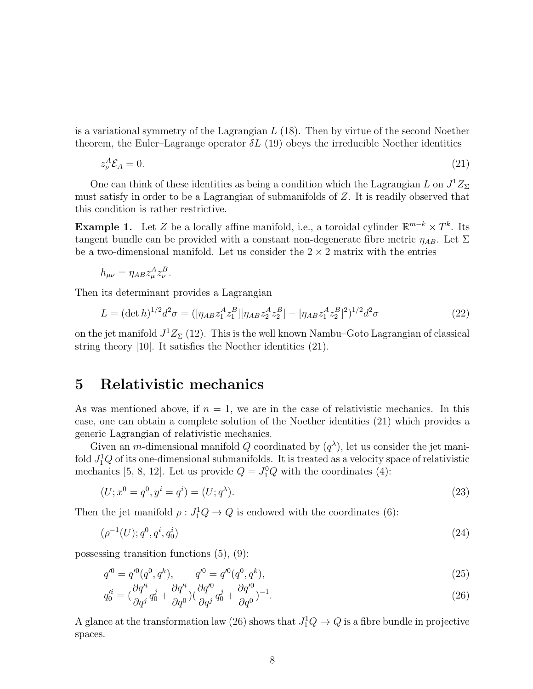is a variational symmetry of the Lagrangian  $L(18)$ . Then by virtue of the second Noether theorem, the Euler–Lagrange operator  $\delta L$  (19) obeys the irreducible Noether identities

$$
z_{\nu}^A \mathcal{E}_A = 0. \tag{21}
$$

One can think of these identities as being a condition which the Lagrangian L on  $J^1Z_{\Sigma}$ must satisfy in order to be a Lagrangian of submanifolds of Z. It is readily observed that this condition is rather restrictive.

**Example 1.** Let Z be a locally affine manifold, i.e., a toroidal cylinder  $\mathbb{R}^{m-k} \times T^k$ . Its tangent bundle can be provided with a constant non-degenerate fibre metric  $\eta_{AB}$ . Let  $\Sigma$ be a two-dimensional manifold. Let us consider the  $2 \times 2$  matrix with the entries

$$
h_{\mu\nu} = \eta_{AB} z^A_\mu z^B_\nu.
$$

Then its determinant provides a Lagrangian

$$
L = (\det h)^{1/2} d^2 \sigma = ([\eta_{AB} z_1^A z_1^B] [\eta_{AB} z_2^A z_2^B] - [\eta_{AB} z_1^A z_2^B]^2)^{1/2} d^2 \sigma \tag{22}
$$

on the jet manifold  $J^1Z_{\Sigma}(12)$ . This is the well known Nambu–Goto Lagrangian of classical string theory [10]. It satisfies the Noether identities (21).

### 5 Relativistic mechanics

As was mentioned above, if  $n = 1$ , we are in the case of relativistic mechanics. In this case, one can obtain a complete solution of the Noether identities (21) which provides a generic Lagrangian of relativistic mechanics.

Given an *m*-dimensional manifold Q coordinated by  $(q^{\lambda})$ , let us consider the jet manifold  $J_1^1Q$  of its one-dimensional submanifolds. It is treated as a velocity space of relativistic mechanics [5, 8, 12]. Let us provide  $Q = J_1^0 Q$  with the coordinates (4):

$$
(U; x0 = q0, yi = qi) = (U; q\lambda).
$$
\n(23)

Then the jet manifold  $\rho: J_1^1 Q \to Q$  is endowed with the coordinates (6):

$$
(\rho^{-1}(U); q^0, q^i, q_0^i) \tag{24}
$$

possessing transition functions (5), (9):

$$
q'^0 = q'^0(q^0, q^k), \qquad q'^0 = q'^0(q^0, q^k), \tag{25}
$$

$$
q_0^{\prime i} = \left(\frac{\partial q^{\prime i}}{\partial q^j} q_0^j + \frac{\partial q^{\prime i}}{\partial q^0}\right) \left(\frac{\partial q^{\prime 0}}{\partial q^j} q_0^j + \frac{\partial q^{\prime 0}}{\partial q^0}\right)^{-1}.\tag{26}
$$

A glance at the transformation law (26) shows that  $J_1^1Q \to Q$  is a fibre bundle in projective spaces.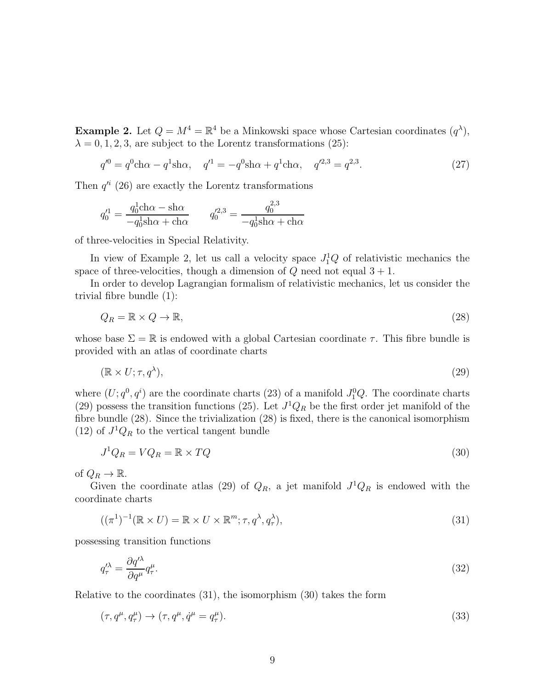**Example 2.** Let  $Q = M^4 = \mathbb{R}^4$  be a Minkowski space whose Cartesian coordinates  $(q^{\lambda})$ ,  $\lambda = 0, 1, 2, 3$ , are subject to the Lorentz transformations (25):

$$
q'^0 = q^0 \text{ch}\alpha - q^1 \text{sh}\alpha, \quad q'^1 = -q^0 \text{sh}\alpha + q^1 \text{ch}\alpha, \quad q'^{2,3} = q^{2,3}.
$$
 (27)

Then  $q'^i$  (26) are exactly the Lorentz transformations

$$
q_0^{\prime 1} = \frac{q_0^1 \text{ch}\alpha - \text{sh}\alpha}{-q_0^1 \text{sh}\alpha + \text{ch}\alpha} \qquad q_0^{\prime 2,3} = \frac{q_0^{2,3}}{-q_0^1 \text{sh}\alpha + \text{ch}\alpha}
$$

of three-velocities in Special Relativity.

In view of Example 2, let us call a velocity space  $J_1^1Q$  of relativistic mechanics the space of three-velocities, though a dimension of  $Q$  need not equal  $3 + 1$ .

In order to develop Lagrangian formalism of relativistic mechanics, let us consider the trivial fibre bundle (1):

$$
Q_R = \mathbb{R} \times Q \to \mathbb{R},\tag{28}
$$

whose base  $\Sigma = \mathbb{R}$  is endowed with a global Cartesian coordinate  $\tau$ . This fibre bundle is provided with an atlas of coordinate charts

$$
(\mathbb{R} \times U; \tau, q^{\lambda}), \tag{29}
$$

where  $(U; q<sup>0</sup>, q<sup>i</sup>)$  are the coordinate charts (23) of a manifold  $J_1^0Q$ . The coordinate charts (29) possess the transition functions (25). Let  $J^1Q_R$  be the first order jet manifold of the fibre bundle (28). Since the trivialization (28) is fixed, there is the canonical isomorphism (12) of  $J^1Q_R$  to the vertical tangent bundle

$$
J^1 Q_R = V Q_R = \mathbb{R} \times TQ \tag{30}
$$

of  $Q_R \to \mathbb{R}$ .

Given the coordinate atlas (29) of  $Q_R$ , a jet manifold  $J^1Q_R$  is endowed with the coordinate charts

$$
((\pi^1)^{-1}(\mathbb{R}\times U) = \mathbb{R}\times U \times \mathbb{R}^m; \tau, q^{\lambda}, q^{\lambda}_\tau), \tag{31}
$$

possessing transition functions

$$
q_{\tau}^{\prime \lambda} = \frac{\partial q^{\prime \lambda}}{\partial q^{\mu}} q_{\tau}^{\mu}.
$$
\n(32)

Relative to the coordinates (31), the isomorphism (30) takes the form

$$
(\tau, q^{\mu}, q^{\mu}_{\tau}) \rightarrow (\tau, q^{\mu}, \dot{q}^{\mu} = q^{\mu}_{\tau}). \tag{33}
$$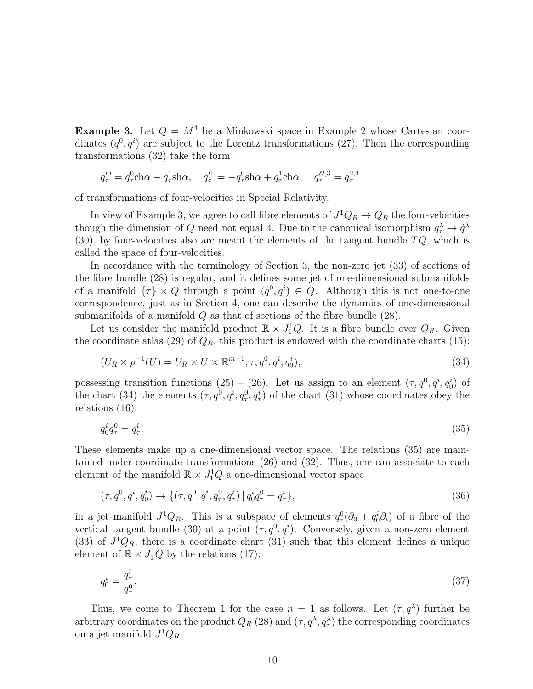**Example 3.** Let  $Q = M^4$  be a Minkowski space in Example 2 whose Cartesian coordinates  $(q^0, q^i)$  are subject to the Lorentz transformations (27). Then the corresponding transformations (32) take the form

$$
q_{\tau}^{\prime 0} = q_{\tau}^{0} \text{ch}\alpha - q_{\tau}^{1} \text{sh}\alpha, \quad q_{\tau}^{\prime 1} = -q_{\tau}^{0} \text{sh}\alpha + q_{\tau}^{1} \text{ch}\alpha, \quad q_{\tau}^{\prime 2,3} = q_{\tau}^{2,3}
$$

of transformations of four-velocities in Special Relativity.

In view of Example 3, we agree to call fibre elements of  $J^1Q_R \to Q_R$  the four-velocities though the dimension of Q need not equal 4. Due to the canonical isomorphism  $q_{\tau}^{\lambda} \to \dot{q}^{\lambda}$  $(30)$ , by four-velocities also are meant the elements of the tangent bundle  $TQ$ , which is called the space of four-velocities.

In accordance with the terminology of Section 3, the non-zero jet (33) of sections of the fibre bundle (28) is regular, and it defines some jet of one-dimensional submanifolds of a manifold  $\{\tau\} \times Q$  through a point  $(q^0, q^i) \in Q$ . Although this is not one-to-one correspondence, just as in Section 4, one can describe the dynamics of one-dimensional submanifolds of a manifold  $Q$  as that of sections of the fibre bundle  $(28)$ .

Let us consider the manifold product  $\mathbb{R} \times J_1^1 Q$ . It is a fibre bundle over  $Q_R$ . Given the coordinate atlas (29) of  $Q_R$ , this product is endowed with the coordinate charts (15):

$$
(U_R \times \rho^{-1}(U) = U_R \times U \times \mathbb{R}^{m-1}; \tau, q^0, q^i, q_0^i),
$$
\n(34)

possessing transition functions (25) – (26). Let us assign to an element  $(\tau, q^0, q^i, q_0^i)$  of the chart (34) the elements  $(\tau, q^0, q^i, q^0, q^i)$  of the chart (31) whose coordinates obey the relations (16):

$$
q_0^i q_\tau^0 = q_\tau^i. \tag{35}
$$

These elements make up a one-dimensional vector space. The relations (35) are maintained under coordinate transformations (26) and (32). Thus, one can associate to each element of the manifold  $\mathbb{R} \times J_1^1 Q$  a one-dimensional vector space

$$
(\tau, q^0, q^i, q_0^i) \to \{ (\tau, q^0, q^i, q_\tau^0, q_\tau^i) \mid q_0^i q_\tau^0 = q_\tau^i \},\tag{36}
$$

in a jet manifold  $J^1Q_R$ . This is a subspace of elements  $q_\tau^0(\partial_0 + q_0^i\partial_i)$  of a fibre of the vertical tangent bundle (30) at a point  $(\tau, q^0, q^i)$ . Conversely, given a non-zero element (33) of  $J^1Q_R$ , there is a coordinate chart (31) such that this element defines a unique element of  $\mathbb{R} \times J_1^1 Q$  by the relations (17):

$$
q_0^i = \frac{q_\tau^i}{q_\tau^0}.\tag{37}
$$

Thus, we come to Theorem 1 for the case  $n = 1$  as follows. Let  $(\tau, q^{\lambda})$  further be arbitrary coordinates on the product  $Q_R(28)$  and  $(\tau, q^{\lambda}, q^{\lambda}_{\tau})$  the corresponding coordinates on a jet manifold  $J^1Q_R$ .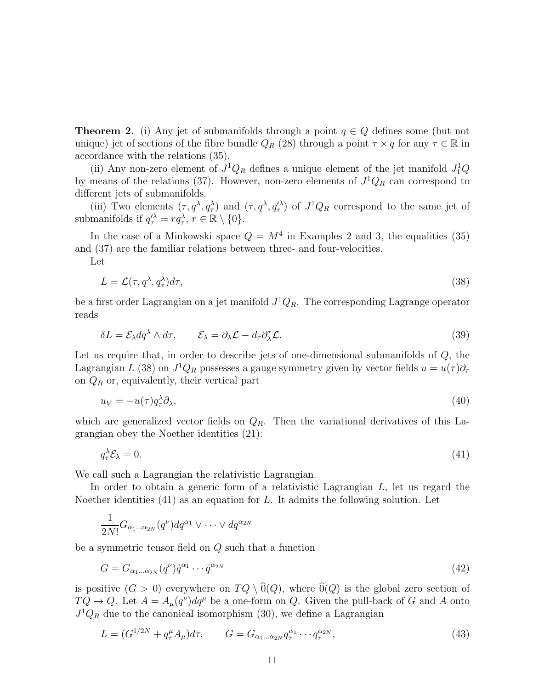**Theorem 2.** (i) Any jet of submanifolds through a point  $q \in Q$  defines some (but not unique) jet of sections of the fibre bundle  $Q_R$  (28) through a point  $\tau \times q$  for any  $\tau \in \mathbb{R}$  in accordance with the relations (35).

(ii) Any non-zero element of  $J^1Q_R$  defines a unique element of the jet manifold  $J_1^1Q$ by means of the relations (37). However, non-zero elements of  $J^1Q_R$  can correspond to different jets of submanifolds.

(iii) Two elements  $(\tau, q^{\lambda}, q^{\lambda})$  and  $(\tau, q^{\lambda}, q'^{\lambda})$  of  $J^1Q_R$  correspond to the same jet of submanifolds if  $q_{\tau}^{\lambda} = r q_{\tau}^{\lambda}, r \in \mathbb{R} \setminus \{0\}.$ 

In the case of a Minkowski space  $Q = M^4$  in Examples 2 and 3, the equalities (35) and (37) are the familiar relations between three- and four-velocities.

Let

$$
L = \mathcal{L}(\tau, q^{\lambda}, q_{\tau}^{\lambda})d\tau,
$$
\n(38)

be a first order Lagrangian on a jet manifold  $J^1Q_R$ . The corresponding Lagrange operator reads

$$
\delta L = \mathcal{E}_{\lambda} dq^{\lambda} \wedge d\tau, \qquad \mathcal{E}_{\lambda} = \partial_{\lambda} \mathcal{L} - d_{\tau} \partial_{\lambda}^{\tau} \mathcal{L}.
$$
\n(39)

Let us require that, in order to describe jets of one-dimensional submanifolds of Q, the Lagrangian L (38) on  $J^1Q_R$  possesses a gauge symmetry given by vector fields  $u = u(\tau)\partial_\tau$ on  $Q_R$  or, equivalently, their vertical part

$$
u_V = -u(\tau)q_\tau^{\lambda}\partial_{\lambda},\tag{40}
$$

which are generalized vector fields on  $Q_R$ . Then the variational derivatives of this Lagrangian obey the Noether identities (21):

$$
q_{\tau}^{\lambda} \mathcal{E}_{\lambda} = 0. \tag{41}
$$

We call such a Lagrangian the relativistic Lagrangian.

In order to obtain a generic form of a relativistic Lagrangian  $L$ , let us regard the Noether identities  $(41)$  as an equation for L. It admits the following solution. Let

$$
\frac{1}{2N!}G_{\alpha_1...\alpha_{2N}}(q^{\nu})dq^{\alpha_1}\vee\cdots\vee dq^{\alpha_{2N}}
$$

be a symmetric tensor field on Q such that a function

$$
G = G_{\alpha_1 \dots \alpha_{2N}}(q^{\nu}) \dot{q}^{\alpha_1} \cdots \dot{q}^{\alpha_{2N}} \tag{42}
$$

is positive  $(G > 0)$  everywhere on  $TQ \setminus O(Q)$ , where  $O(Q)$  is the global zero section of  $TQ \to Q$ . Let  $A = A_{\mu}(q^{\nu})dq^{\mu}$  be a one-form on Q. Given the pull-back of G and A onto  $J^1Q_R$  due to the canonical isomorphism (30), we define a Lagrangian

$$
L = (G^{1/2N} + q_{\tau}^{\mu} A_{\mu}) d\tau, \qquad G = G_{\alpha_1...\alpha_{2N}} q_{\tau}^{\alpha_1} \cdots q_{\tau}^{\alpha_{2N}}, \qquad (43)
$$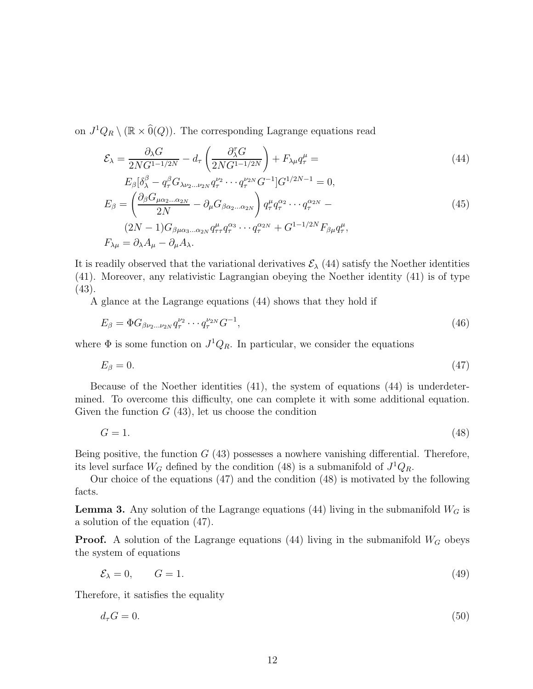on  $J^1Q_R \setminus (\mathbb{R} \times \widehat{0}(Q))$ . The corresponding Lagrange equations read

$$
\mathcal{E}_{\lambda} = \frac{\partial_{\lambda} G}{2NG^{1-1/2N}} - d_{\tau} \left( \frac{\partial_{\lambda}^{\tau} G}{2NG^{1-1/2N}} \right) + F_{\lambda \mu} q_{\tau}^{\mu} = \tag{44}
$$

$$
E_{\beta}[\delta_{\lambda}^{\beta} - q_{\tau}^{\beta} G_{\lambda \nu_2 \dots \nu_{2N}} q_{\tau}^{\nu_2} \cdots q_{\tau}^{\nu_{2N}} G^{-1}] G^{1/2N-1} = 0,
$$
  
\n
$$
E_{\beta} = \left(\frac{\partial_{\beta} G_{\mu \alpha_2 \dots \alpha_{2N}}}{2N} - \partial_{\mu} G_{\beta \alpha_2 \dots \alpha_{2N}}\right) q_{\tau}^{\mu} q_{\tau}^{\alpha_2} \cdots q_{\tau}^{\alpha_{2N}} -
$$
  
\n
$$
(2N-1) G_{\beta \mu \alpha_3 \dots \alpha_{2N}} q_{\tau \tau}^{\mu} q_{\tau}^{\alpha_3} \cdots q_{\tau}^{\alpha_{2N}} + G^{1-1/2N} F_{\beta \mu} q_{\tau}^{\mu},
$$
  
\n
$$
F_{\lambda \mu} = \partial_{\lambda} A_{\mu} - \partial_{\mu} A_{\lambda}.
$$
  
\n(45)

It is readily observed that the variational derivatives  $\mathcal{E}_{\lambda}$  (44) satisfy the Noether identities (41). Moreover, any relativistic Lagrangian obeying the Noether identity (41) is of type (43).

A glance at the Lagrange equations (44) shows that they hold if

$$
E_{\beta} = \Phi G_{\beta \nu_2 \dots \nu_{2N}} q_{\tau}^{\nu_2} \cdots q_{\tau}^{\nu_{2N}} G^{-1},\tag{46}
$$

where  $\Phi$  is some function on  $J^1Q_R$ . In particular, we consider the equations

$$
E_{\beta} = 0. \tag{47}
$$

Because of the Noether identities (41), the system of equations (44) is underdetermined. To overcome this difficulty, one can complete it with some additional equation. Given the function  $G(43)$ , let us choose the condition

 $G = 1.$  (48)

Being positive, the function  $G(43)$  possesses a nowhere vanishing differential. Therefore, its level surface  $W_G$  defined by the condition (48) is a submanifold of  $J^1Q_R$ .

Our choice of the equations (47) and the condition (48) is motivated by the following facts.

**Lemma 3.** Any solution of the Lagrange equations (44) living in the submanifold  $W_G$  is a solution of the equation (47).

**Proof.** A solution of the Lagrange equations (44) living in the submanifold  $W_G$  obeys the system of equations

$$
\mathcal{E}_{\lambda} = 0, \qquad G = 1. \tag{49}
$$

Therefore, it satisfies the equality

$$
d_{\tau}G = 0.\tag{50}
$$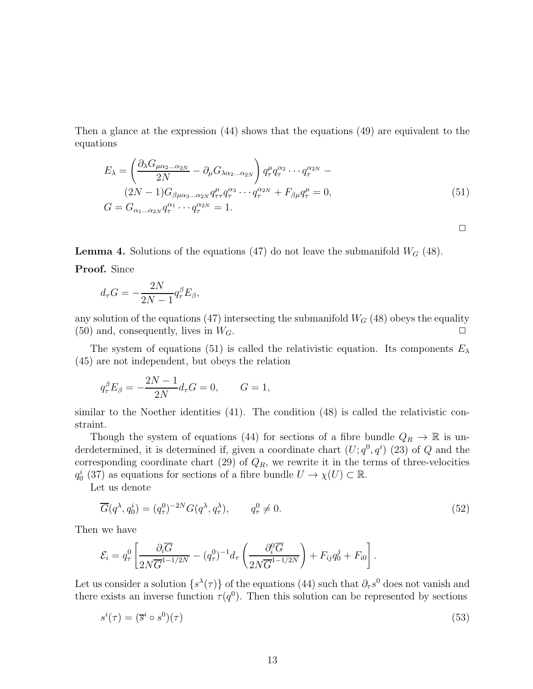Then a glance at the expression (44) shows that the equations (49) are equivalent to the equations

$$
E_{\lambda} = \left(\frac{\partial_{\lambda} G_{\mu\alpha_2...\alpha_{2N}}}{2N} - \partial_{\mu} G_{\lambda\alpha_2...\alpha_{2N}}\right) q_{\tau}^{\mu} q_{\tau}^{\alpha_2} \cdots q_{\tau}^{\alpha_{2N}} - (2N-1)G_{\beta\mu\alpha_3...\alpha_{2N}} q_{\tau\tau}^{\mu} q_{\tau}^{\alpha_3} \cdots q_{\tau}^{\alpha_{2N}} + F_{\beta\mu} q_{\tau}^{\mu} = 0,
$$
\n
$$
G = G_{\alpha_1...\alpha_{2N}} q_{\tau}^{\alpha_1} \cdots q_{\tau}^{\alpha_{2N}} = 1.
$$
\n(51)

 $\Box$ 

**Lemma 4.** Solutions of the equations (47) do not leave the submanifold  $W_G$  (48).

Proof. Since

$$
d_{\tau}G = -\frac{2N}{2N-1}q_{\tau}^{\beta}E_{\beta},
$$

any solution of the equations (47) intersecting the submanifold  $W_G$  (48) obeys the equality (50) and, consequently, lives in  $W_G$ .

The system of equations (51) is called the relativistic equation. Its components  $E_{\lambda}$ (45) are not independent, but obeys the relation

$$
q_{\tau}^{\beta} E_{\beta} = -\frac{2N - 1}{2N} d_{\tau} G = 0, \qquad G = 1,
$$

similar to the Noether identities  $(41)$ . The condition  $(48)$  is called the relativistic constraint.

Though the system of equations (44) for sections of a fibre bundle  $Q_R \to \mathbb{R}$  is underdetermined, it is determined if, given a coordinate chart  $(U; q<sup>0</sup>, q<sup>i</sup>)$  (23) of Q and the corresponding coordinate chart (29) of  $Q_R$ , we rewrite it in the terms of three-velocities  $q_0^i$  (37) as equations for sections of a fibre bundle  $U \to \chi(U) \subset \mathbb{R}$ .

Let us denote

$$
\overline{G}(q^{\lambda}, q_0^i) = (q_{\tau}^0)^{-2N} G(q^{\lambda}, q_{\tau}^{\lambda}), \qquad q_{\tau}^0 \neq 0.
$$
\n
$$
(52)
$$

Then we have

$$
\mathcal{E}_i = q_\tau^0 \left[ \frac{\partial_i \overline{G}}{2N \overline{G}^{1-1/2N}} - (q_\tau^0)^{-1} d_\tau \left( \frac{\partial_i^0 \overline{G}}{2N \overline{G}^{1-1/2N}} \right) + F_{ij} q_0^j + F_{i0} \right].
$$

Let us consider a solution  $\{s^{\lambda}(\tau)\}\$  of the equations (44) such that  $\partial_{\tau}s^0$  does not vanish and there exists an inverse function  $\tau(q^0)$ . Then this solution can be represented by sections

$$
s^{i}(\tau) = (\overline{s}^{i} \circ s^{0})(\tau) \tag{53}
$$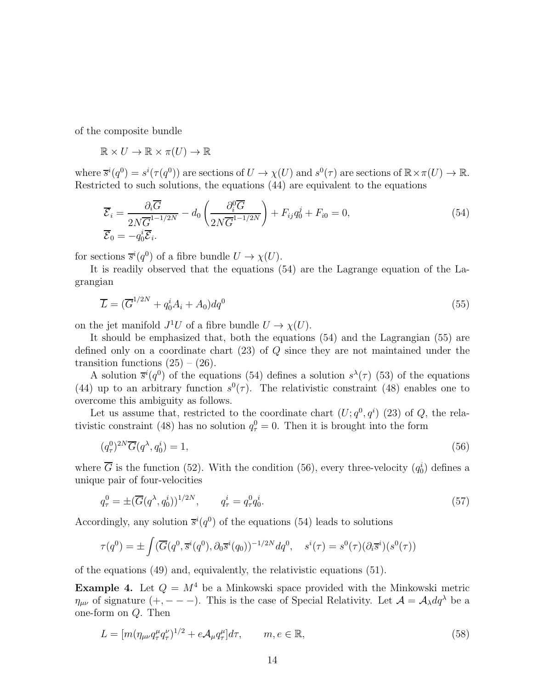of the composite bundle

$$
\mathbb{R} \times U \to \mathbb{R} \times \pi(U) \to \mathbb{R}
$$

where  $\overline{s}^{i}(q^{0}) = s^{i}(\tau(q^{0}))$  are sections of  $U \to \chi(U)$  and  $s^{0}(\tau)$  are sections of  $\mathbb{R} \times \pi(U) \to \mathbb{R}$ . Restricted to such solutions, the equations (44) are equivalent to the equations

$$
\overline{\mathcal{E}}_i = \frac{\partial_i \overline{G}}{2N\overline{G}^{1-1/2N}} - d_0 \left( \frac{\partial_i^0 \overline{G}}{2N\overline{G}^{1-1/2N}} \right) + F_{ij} q_0^j + F_{i0} = 0,
$$
\n(54)\n
$$
\overline{\mathcal{E}}_0 = -q_0^i \overline{\mathcal{E}}_i.
$$

for sections  $\overline{s}^i(q^0)$  of a fibre bundle  $U \to \chi(U)$ .

It is readily observed that the equations (54) are the Lagrange equation of the Lagrangian

$$
\overline{L} = (\overline{G}^{1/2N} + q_0^i A_i + A_0) dq^0
$$
\n
$$
(55)
$$

on the jet manifold  $J^1U$  of a fibre bundle  $U \to \chi(U)$ .

It should be emphasized that, both the equations (54) and the Lagrangian (55) are defined only on a coordinate chart (23) of Q since they are not maintained under the transition functions  $(25) - (26)$ .

A solution  $\bar{s}^i(q^0)$  of the equations (54) defines a solution  $s^{\lambda}(\tau)$  (53) of the equations (44) up to an arbitrary function  $s^0(\tau)$ . The relativistic constraint (48) enables one to overcome this ambiguity as follows.

Let us assume that, restricted to the coordinate chart  $(U; q<sup>0</sup>, q<sup>i</sup>)$  (23) of Q, the relativistic constraint (48) has no solution  $q_{\tau}^0 = 0$ . Then it is brought into the form

$$
(q^0_\tau)^{2N}\overline{G}(q^\lambda, q_0^i) = 1,\tag{56}
$$

where  $\overline{G}$  is the function (52). With the condition (56), every three-velocity  $(q_0^i)$  defines a unique pair of four-velocities

$$
q_{\tau}^{0} = \pm (\overline{G}(q^{\lambda}, q_{0}^{i}))^{1/2N}, \qquad q_{\tau}^{i} = q_{\tau}^{0} q_{0}^{i}.
$$
 (57)

Accordingly, any solution  $\bar{s}^i(q^0)$  of the equations (54) leads to solutions

$$
\tau(q^0) = \pm \int (\overline{G}(q^0, \overline{s}^i(q^0), \partial_0 \overline{s}^i(q_0))^{-1/2N} dq^0, \quad s^i(\tau) = s^0(\tau)(\partial_i \overline{s}^i)(s^0(\tau))
$$

of the equations (49) and, equivalently, the relativistic equations (51).

**Example 4.** Let  $Q = M^4$  be a Minkowski space provided with the Minkowski metric  $\eta_{\mu\nu}$  of signature  $(+, -- -)$ . This is the case of Special Relativity. Let  $\mathcal{A} = \mathcal{A}_{\lambda} dq^{\lambda}$  be a one-form on Q. Then

$$
L = [m(\eta_{\mu\nu}q_{\tau}^{\mu}q_{\tau}^{\nu})^{1/2} + e\mathcal{A}_{\mu}q_{\tau}^{\mu}]d\tau, \qquad m, e \in \mathbb{R}, \qquad (58)
$$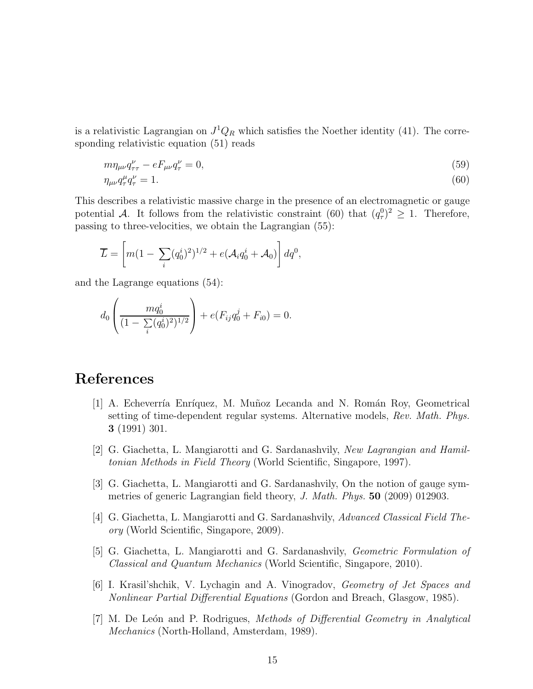is a relativistic Lagrangian on  $J^1Q_R$  which satisfies the Noether identity (41). The corresponding relativistic equation (51) reads

$$
m\eta_{\mu\nu}q_{\tau\tau}^{\nu} - eF_{\mu\nu}q_{\tau}^{\nu} = 0, \tag{59}
$$

$$
\eta_{\mu\nu}q_{\tau}^{\mu}q_{\tau}^{\nu}=1.\tag{60}
$$

This describes a relativistic massive charge in the presence of an electromagnetic or gauge potential A. It follows from the relativistic constraint (60) that  $(q_\tau^0)^2 \geq 1$ . Therefore, passing to three-velocities, we obtain the Lagrangian (55):

$$
\overline{L} = \left[ m(1 - \sum_{i} (q_0^i)^2)^{1/2} + e(\mathcal{A}_i q_0^i + \mathcal{A}_0) \right] dq^0,
$$

and the Lagrange equations (54):

$$
d_0 \left( \frac{mq_0^i}{(1 - \sum_i (q_0^i)^2)^{1/2}} \right) + e(F_{ij}q_0^j + F_{i0}) = 0.
$$

## References

- [1] A. Echeverría Enríquez, M. Muñoz Lecanda and N. Román Roy, Geometrical setting of time-dependent regular systems. Alternative models, Rev. Math. Phys. 3 (1991) 301.
- [2] G. Giachetta, L. Mangiarotti and G. Sardanashvily, New Lagrangian and Hamiltonian Methods in Field Theory (World Scientific, Singapore, 1997).
- [3] G. Giachetta, L. Mangiarotti and G. Sardanashvily, On the notion of gauge symmetries of generic Lagrangian field theory, J. Math. Phys. 50 (2009) 012903.
- [4] G. Giachetta, L. Mangiarotti and G. Sardanashvily, Advanced Classical Field Theory (World Scientific, Singapore, 2009).
- [5] G. Giachetta, L. Mangiarotti and G. Sardanashvily, Geometric Formulation of Classical and Quantum Mechanics (World Scientific, Singapore, 2010).
- [6] I. Krasil'shchik, V. Lychagin and A. Vinogradov, Geometry of Jet Spaces and Nonlinear Partial Differential Equations (Gordon and Breach, Glasgow, 1985).
- [7] M. De León and P. Rodrigues, Methods of Differential Geometry in Analytical Mechanics (North-Holland, Amsterdam, 1989).